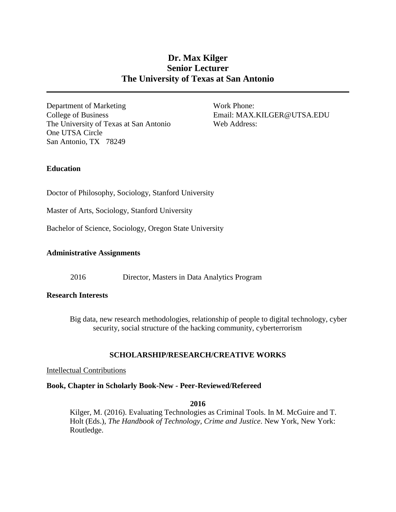# **Dr. Max Kilger Senior Lecturer The University of Texas at San Antonio**

Department of Marketing Work Phone: College of Business Email: MAX.KILGER@UTSA.EDU The University of Texas at San Antonio One UTSA Circle San Antonio, TX 78249

Web Address:

# **Education**

Doctor of Philosophy, Sociology, Stanford University

Master of Arts, Sociology, Stanford University

Bachelor of Science, Sociology, Oregon State University

# **Administrative Assignments**

2016 Director, Masters in Data Analytics Program

# **Research Interests**

Big data, new research methodologies, relationship of people to digital technology, cyber security, social structure of the hacking community, cyberterrorism

# **SCHOLARSHIP/RESEARCH/CREATIVE WORKS**

# Intellectual Contributions

# **Book, Chapter in Scholarly Book-New - Peer-Reviewed/Refereed**

# **2016**

Kilger, M. (2016). Evaluating Technologies as Criminal Tools. In M. McGuire and T. Holt (Eds.), *The Handbook of Technology, Crime and Justice*. New York, New York: Routledge.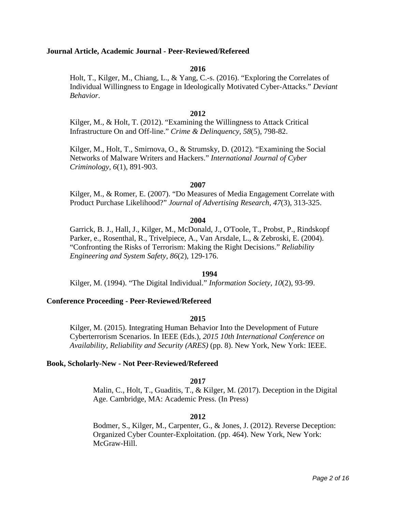# **Journal Article, Academic Journal - Peer-Reviewed/Refereed**

## **2016**

Holt, T., Kilger, M., Chiang, L., & Yang, C.-s. (2016). "Exploring the Correlates of Individual Willingness to Engage in Ideologically Motivated Cyber-Attacks." *Deviant Behavior*.

# **2012**

Kilger, M., & Holt, T. (2012). "Examining the Willingness to Attack Critical Infrastructure On and Off-line." *Crime & Delinquency, 58*(5), 798-82.

Kilger, M., Holt, T., Smirnova, O., & Strumsky, D. (2012). "Examining the Social Networks of Malware Writers and Hackers." *International Journal of Cyber Criminology, 6*(1), 891-903.

# **2007**

Kilger, M., & Romer, E. (2007). "Do Measures of Media Engagement Correlate with Product Purchase Likelihood?" *Journal of Advertising Research, 47*(3), 313-325.

#### **2004**

Garrick, B. J., Hall, J., Kilger, M., McDonald, J., O'Toole, T., Probst, P., Rindskopf Parker, e., Rosenthal, R., Trivelpiece, A., Van Arsdale, L., & Zebroski, E. (2004). "Confronting the Risks of Terrorism: Making the Right Decisions." *Reliability Engineering and System Safety, 86*(2), 129-176.

### **1994**

Kilger, M. (1994). "The Digital Individual." *Information Society, 10*(2), 93-99.

### **Conference Proceeding - Peer-Reviewed/Refereed**

### **2015**

Kilger, M. (2015). Integrating Human Behavior Into the Development of Future Cyberterrorism Scenarios. In IEEE (Eds.), *2015 10th International Conference on Availability, Reliability and Security (ARES)* (pp. 8). New York, New York: IEEE.

### **Book, Scholarly-New - Not Peer-Reviewed/Refereed**

### **2017**

Malin, C., Holt, T., Guaditis, T., & Kilger, M. (2017). Deception in the Digital Age. Cambridge, MA: Academic Press. (In Press)

# **2012**

Bodmer, S., Kilger, M., Carpenter, G., & Jones, J. (2012). Reverse Deception: Organized Cyber Counter-Exploitation. (pp. 464). New York, New York: McGraw-Hill.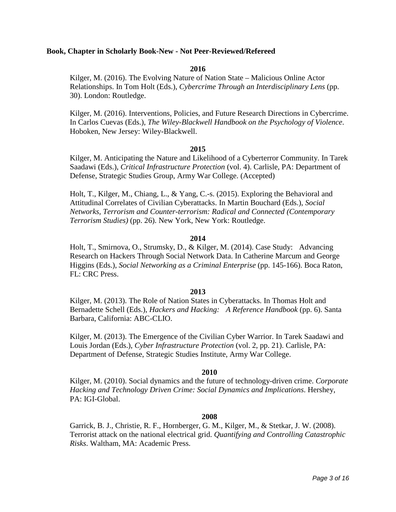# **Book, Chapter in Scholarly Book-New - Not Peer-Reviewed/Refereed**

# **2016**

Kilger, M. (2016). The Evolving Nature of Nation State – Malicious Online Actor Relationships. In Tom Holt (Eds.), *Cybercrime Through an Interdisciplinary Lens* (pp. 30). London: Routledge.

Kilger, M. (2016). Interventions, Policies, and Future Research Directions in Cybercrime. In Carlos Cuevas (Eds.), *The Wiley-Blackwell Handbook on the Psychology of Violence*. Hoboken, New Jersey: Wiley-Blackwell.

### **2015**

Kilger, M. Anticipating the Nature and Likelihood of a Cyberterror Community. In Tarek Saadawi (Eds.), *Critical Infrastructure Protection* (vol. 4). Carlisle, PA: Department of Defense, Strategic Studies Group, Army War College. (Accepted)

Holt, T., Kilger, M., Chiang, L., & Yang, C.-s. (2015). Exploring the Behavioral and Attitudinal Correlates of Civilian Cyberattacks. In Martin Bouchard (Eds.), *Social Networks, Terrorism and Counter-terrorism: Radical and Connected (Contemporary Terrorism Studies)* (pp. 26). New York, New York: Routledge.

## **2014**

Holt, T., Smirnova, O., Strumsky, D., & Kilger, M. (2014). Case Study: Advancing Research on Hackers Through Social Network Data. In Catherine Marcum and George Higgins (Eds.), *Social Networking as a Criminal Enterprise* (pp. 145-166). Boca Raton, FL: CRC Press.

### **2013**

Kilger, M. (2013). The Role of Nation States in Cyberattacks. In Thomas Holt and Bernadette Schell (Eds.), *Hackers and Hacking: A Reference Handbook* (pp. 6). Santa Barbara, California: ABC-CLIO.

Kilger, M. (2013). The Emergence of the Civilian Cyber Warrior. In Tarek Saadawi and Louis Jordan (Eds.), *Cyber Infrastructure Protection* (vol. 2, pp. 21). Carlisle, PA: Department of Defense, Strategic Studies Institute, Army War College.

### **2010**

Kilger, M. (2010). Social dynamics and the future of technology-driven crime. *Corporate Hacking and Technology Driven Crime: Social Dynamics and Implications*. Hershey, PA: IGI-Global.

### **2008**

Garrick, B. J., Christie, R. F., Hornberger, G. M., Kilger, M., & Stetkar, J. W. (2008). Terrorist attack on the national electrical grid. *Quantifying and Controlling Catastrophic Risks*. Waltham, MA: Academic Press.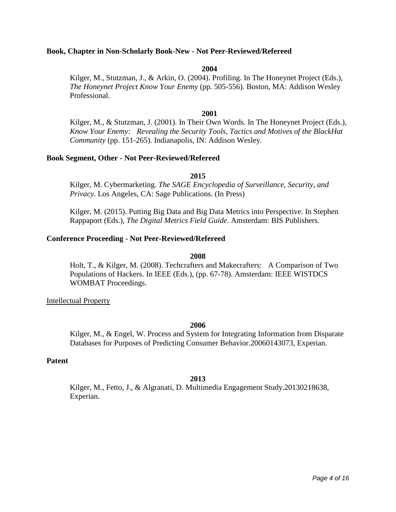# **Book, Chapter in Non-Scholarly Book-New - Not Peer-Reviewed/Refereed**

### **2004**

Kilger, M., Stutzman, J., & Arkin, O. (2004). Profiling. In The Honeynet Project (Eds.), *The Honeynet Project Know Your Enemy* (pp. 505-556). Boston, MA: Addison Wesley Professional.

# **2001**

Kilger, M., & Stutzman, J. (2001). In Their Own Words. In The Honeynet Project (Eds.), *Know Your Enemy: Revealing the Security Tools, Tactics and Motives of the BlackHat Community* (pp. 151-265). Indianapolis, IN: Addison Wesley.

### **Book Segment, Other - Not Peer-Reviewed/Refereed**

### **2015**

Kilger, M. Cybermarketing. *The SAGE Encyclopedia of Surveillance, Security, and Privacy*. Los Angeles, CA: Sage Publications. (In Press)

Kilger, M. (2015). Putting Big Data and Big Data Metrics into Perspective. In Stephen Rappaport (Eds.), *The Digital Metrics Field Guide*. Amsterdam: BIS Publishers.

## **Conference Proceeding - Not Peer-Reviewed/Refereed**

### **2008**

Holt, T., & Kilger, M. (2008). Techcrafters and Makecrafters: A Comparison of Two Populations of Hackers. In IEEE (Eds.), (pp. 67-78). Amsterdam: IEEE WISTDCS WOMBAT Proceedings.

Intellectual Property

## **2006**

Kilger, M., & Engel, W. Process and System for Integrating Information from Disparate Databases for Purposes of Predicting Consumer Behavior.20060143073, Experian.

### **Patent**

# **2013**

Kilger, M., Fetto, J., & Algranati, D. Multimedia Engagement Study.20130218638, Experian.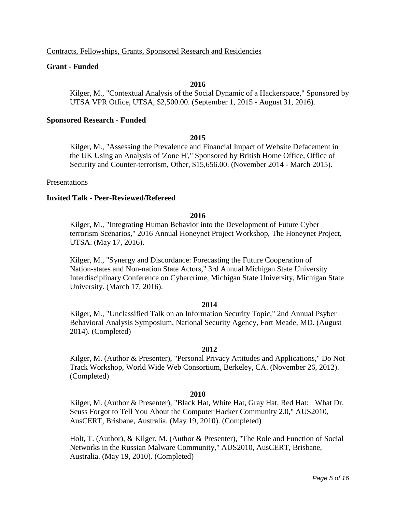Contracts, Fellowships, Grants, Sponsored Research and Residencies

# **Grant - Funded**

# **2016**

Kilger, M., "Contextual Analysis of the Social Dynamic of a Hackerspace," Sponsored by UTSA VPR Office, UTSA, \$2,500.00. (September 1, 2015 - August 31, 2016).

# **Sponsored Research - Funded**

# **2015**

Kilger, M., "Assessing the Prevalence and Financial Impact of Website Defacement in the UK Using an Analysis of 'Zone H'," Sponsored by British Home Office, Office of Security and Counter-terrorism, Other, \$15,656.00. (November 2014 - March 2015).

## Presentations

# **Invited Talk - Peer-Reviewed/Refereed**

# **2016**

Kilger, M., "Integrating Human Behavior into the Development of Future Cyber terrorism Scenarios," 2016 Annual Honeynet Project Workshop, The Honeynet Project, UTSA. (May 17, 2016).

Kilger, M., "Synergy and Discordance: Forecasting the Future Cooperation of Nation-states and Non-nation State Actors," 3rd Annual Michigan State University Interdisciplinary Conference on Cybercrime, Michigan State University, Michigan State University. (March 17, 2016).

# **2014**

Kilger, M., "Unclassified Talk on an Information Security Topic," 2nd Annual Psyber Behavioral Analysis Symposium, National Security Agency, Fort Meade, MD. (August 2014). (Completed)

# **2012**

Kilger, M. (Author & Presenter), "Personal Privacy Attitudes and Applications," Do Not Track Workshop, World Wide Web Consortium, Berkeley, CA. (November 26, 2012). (Completed)

# **2010**

Kilger, M. (Author & Presenter), "Black Hat, White Hat, Gray Hat, Red Hat: What Dr. Seuss Forgot to Tell You About the Computer Hacker Community 2.0," AUS2010, AusCERT, Brisbane, Australia. (May 19, 2010). (Completed)

Holt, T. (Author), & Kilger, M. (Author & Presenter), "The Role and Function of Social Networks in the Russian Malware Community," AUS2010, AusCERT, Brisbane, Australia. (May 19, 2010). (Completed)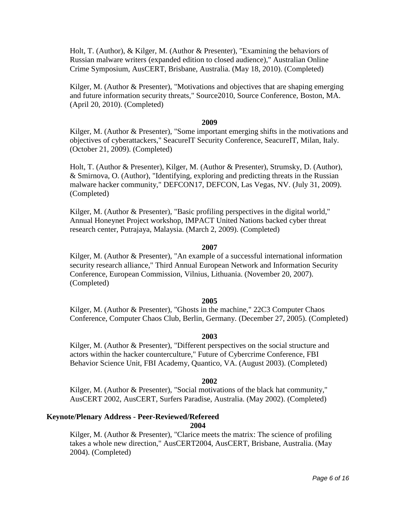Holt, T. (Author), & Kilger, M. (Author & Presenter), "Examining the behaviors of Russian malware writers (expanded edition to closed audience)," Australian Online Crime Symposium, AusCERT, Brisbane, Australia. (May 18, 2010). (Completed)

Kilger, M. (Author & Presenter), "Motivations and objectives that are shaping emerging and future information security threats," Source2010, Source Conference, Boston, MA. (April 20, 2010). (Completed)

### **2009**

Kilger, M. (Author & Presenter), "Some important emerging shifts in the motivations and objectives of cyberattackers," SeacureIT Security Conference, SeacureIT, Milan, Italy. (October 21, 2009). (Completed)

Holt, T. (Author & Presenter), Kilger, M. (Author & Presenter), Strumsky, D. (Author), & Smirnova, O. (Author), "Identifying, exploring and predicting threats in the Russian malware hacker community," DEFCON17, DEFCON, Las Vegas, NV. (July 31, 2009). (Completed)

Kilger, M. (Author & Presenter), "Basic profiling perspectives in the digital world," Annual Honeynet Project workshop, IMPACT United Nations backed cyber threat research center, Putrajaya, Malaysia. (March 2, 2009). (Completed)

### **2007**

Kilger, M. (Author & Presenter), "An example of a successful international information security research alliance," Third Annual European Network and Information Security Conference, European Commission, Vilnius, Lithuania. (November 20, 2007). (Completed)

# **2005**

Kilger, M. (Author & Presenter), "Ghosts in the machine," 22C3 Computer Chaos Conference, Computer Chaos Club, Berlin, Germany. (December 27, 2005). (Completed)

### **2003**

Kilger, M. (Author & Presenter), "Different perspectives on the social structure and actors within the hacker counterculture," Future of Cybercrime Conference, FBI Behavior Science Unit, FBI Academy, Quantico, VA. (August 2003). (Completed)

### **2002**

Kilger, M. (Author & Presenter), "Social motivations of the black hat community," AusCERT 2002, AusCERT, Surfers Paradise, Australia. (May 2002). (Completed)

# **Keynote/Plenary Address - Peer-Reviewed/Refereed**

# **2004**

Kilger, M. (Author & Presenter), "Clarice meets the matrix: The science of profiling takes a whole new direction," AusCERT2004, AusCERT, Brisbane, Australia. (May 2004). (Completed)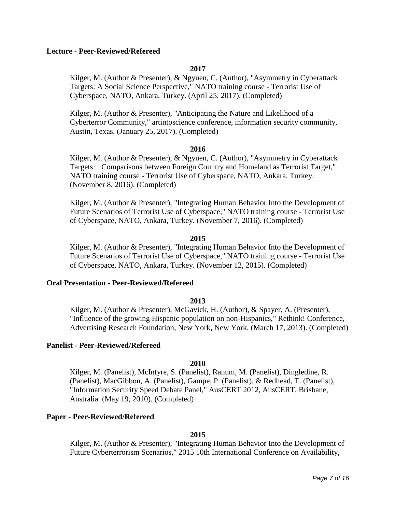# **Lecture - Peer-Reviewed/Refereed**

# **2017**

Kilger, M. (Author & Presenter), & Ngyuen, C. (Author), "Asymmetry in Cyberattack Targets: A Social Science Perspective," NATO training course - Terrorist Use of Cyberspace, NATO, Ankara, Turkey. (April 25, 2017). (Completed)

Kilger, M. (Author & Presenter), "Anticipating the Nature and Likelihood of a Cyberterror Community," artintoscience conference, information security community, Austin, Texas. (January 25, 2017). (Completed)

## **2016**

Kilger, M. (Author & Presenter), & Ngyuen, C. (Author), "Asymmetry in Cyberattack Targets: Comparisons between Foreign Country and Homeland as Terrorist Target," NATO training course - Terrorist Use of Cyberspace, NATO, Ankara, Turkey. (November 8, 2016). (Completed)

Kilger, M. (Author & Presenter), "Integrating Human Behavior Into the Development of Future Scenarios of Terrorist Use of Cyberspace," NATO training course - Terrorist Use of Cyberspace, NATO, Ankara, Turkey. (November 7, 2016). (Completed)

### **2015**

Kilger, M. (Author & Presenter), "Integrating Human Behavior Into the Development of Future Scenarios of Terrorist Use of Cyberspace," NATO training course - Terrorist Use of Cyberspace, NATO, Ankara, Turkey. (November 12, 2015). (Completed)

### **Oral Presentation - Peer-Reviewed/Refereed**

# **2013**

Kilger, M. (Author & Presenter), McGavick, H. (Author), & Spayer, A. (Presenter), "Influence of the growing Hispanic population on non-Hispanics," Rethink! Conference, Advertising Research Foundation, New York, New York. (March 17, 2013). (Completed)

# **Panelist - Peer-Reviewed/Refereed**

### **2010**

Kilger, M. (Panelist), McIntyre, S. (Panelist), Ranum, M. (Panelist), Dingledine, R. (Panelist), MacGibbon, A. (Panelist), Gampe, P. (Panelist), & Redhead, T. (Panelist), "Information Security Speed Debate Panel," AusCERT 2012, AusCERT, Brisbane, Australia. (May 19, 2010). (Completed)

# **Paper - Peer-Reviewed/Refereed**

# **2015**

Kilger, M. (Author & Presenter), "Integrating Human Behavior Into the Development of Future Cyberterrorism Scenarios," 2015 10th International Conference on Availability,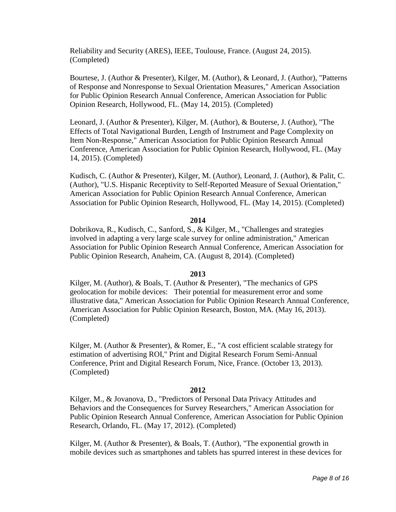Reliability and Security (ARES), IEEE, Toulouse, France. (August 24, 2015). (Completed)

Bourtese, J. (Author & Presenter), Kilger, M. (Author), & Leonard, J. (Author), "Patterns of Response and Nonresponse to Sexual Orientation Measures," American Association for Public Opinion Research Annual Conference, American Association for Public Opinion Research, Hollywood, FL. (May 14, 2015). (Completed)

Leonard, J. (Author & Presenter), Kilger, M. (Author), & Bouterse, J. (Author), "The Effects of Total Navigational Burden, Length of Instrument and Page Complexity on Item Non-Response," American Association for Public Opinion Research Annual Conference, American Association for Public Opinion Research, Hollywood, FL. (May 14, 2015). (Completed)

Kudisch, C. (Author & Presenter), Kilger, M. (Author), Leonard, J. (Author), & Palit, C. (Author), "U.S. Hispanic Receptivity to Self-Reported Measure of Sexual Orientation," American Association for Public Opinion Research Annual Conference, American Association for Public Opinion Research, Hollywood, FL. (May 14, 2015). (Completed)

# **2014**

Dobrikova, R., Kudisch, C., Sanford, S., & Kilger, M., "Challenges and strategies involved in adapting a very large scale survey for online administration," American Association for Public Opinion Research Annual Conference, American Association for Public Opinion Research, Anaheim, CA. (August 8, 2014). (Completed)

# **2013**

Kilger, M. (Author), & Boals, T. (Author & Presenter), "The mechanics of GPS geolocation for mobile devices: Their potential for measurement error and some illustrative data," American Association for Public Opinion Research Annual Conference, American Association for Public Opinion Research, Boston, MA. (May 16, 2013). (Completed)

Kilger, M. (Author & Presenter), & Romer, E., "A cost efficient scalable strategy for estimation of advertising ROI," Print and Digital Research Forum Semi-Annual Conference, Print and Digital Research Forum, Nice, France. (October 13, 2013). (Completed)

# **2012**

Kilger, M., & Jovanova, D., "Predictors of Personal Data Privacy Attitudes and Behaviors and the Consequences for Survey Researchers," American Association for Public Opinion Research Annual Conference, American Association for Public Opinion Research, Orlando, FL. (May 17, 2012). (Completed)

Kilger, M. (Author & Presenter), & Boals, T. (Author), "The exponential growth in mobile devices such as smartphones and tablets has spurred interest in these devices for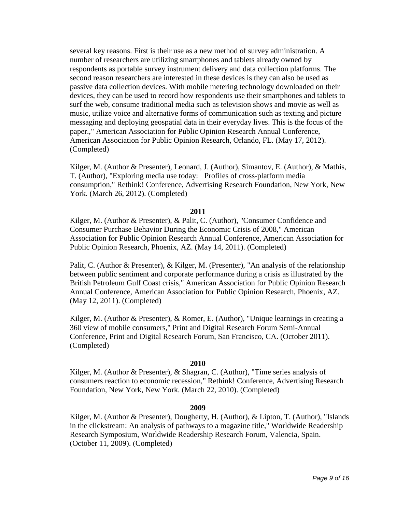several key reasons. First is their use as a new method of survey administration. A number of researchers are utilizing smartphones and tablets already owned by respondents as portable survey instrument delivery and data collection platforms. The second reason researchers are interested in these devices is they can also be used as passive data collection devices. With mobile metering technology downloaded on their devices, they can be used to record how respondents use their smartphones and tablets to surf the web, consume traditional media such as television shows and movie as well as music, utilize voice and alternative forms of communication such as texting and picture messaging and deploying geospatial data in their everyday lives. This is the focus of the paper.," American Association for Public Opinion Research Annual Conference, American Association for Public Opinion Research, Orlando, FL. (May 17, 2012). (Completed)

Kilger, M. (Author & Presenter), Leonard, J. (Author), Simantov, E. (Author), & Mathis, T. (Author), "Exploring media use today: Profiles of cross-platform media consumption," Rethink! Conference, Advertising Research Foundation, New York, New York. (March 26, 2012). (Completed)

# **2011**

Kilger, M. (Author & Presenter), & Palit, C. (Author), "Consumer Confidence and Consumer Purchase Behavior During the Economic Crisis of 2008," American Association for Public Opinion Research Annual Conference, American Association for Public Opinion Research, Phoenix, AZ. (May 14, 2011). (Completed)

Palit, C. (Author & Presenter), & Kilger, M. (Presenter), "An analysis of the relationship between public sentiment and corporate performance during a crisis as illustrated by the British Petroleum Gulf Coast crisis," American Association for Public Opinion Research Annual Conference, American Association for Public Opinion Research, Phoenix, AZ. (May 12, 2011). (Completed)

Kilger, M. (Author & Presenter), & Romer, E. (Author), "Unique learnings in creating a 360 view of mobile consumers," Print and Digital Research Forum Semi-Annual Conference, Print and Digital Research Forum, San Francisco, CA. (October 2011). (Completed)

# **2010**

Kilger, M. (Author & Presenter), & Shagran, C. (Author), "Time series analysis of consumers reaction to economic recession," Rethink! Conference, Advertising Research Foundation, New York, New York. (March 22, 2010). (Completed)

# **2009**

Kilger, M. (Author & Presenter), Dougherty, H. (Author), & Lipton, T. (Author), "Islands in the clickstream: An analysis of pathways to a magazine title," Worldwide Readership Research Symposium, Worldwide Readership Research Forum, Valencia, Spain. (October 11, 2009). (Completed)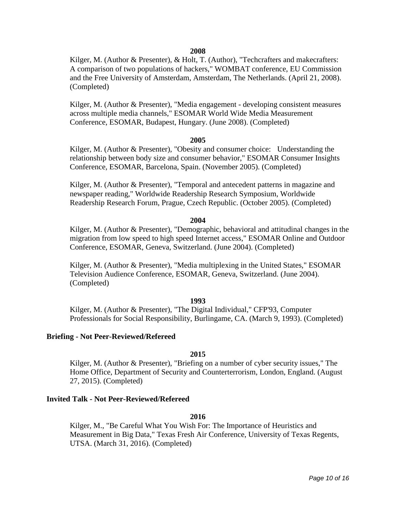# **2008**

Kilger, M. (Author & Presenter), & Holt, T. (Author), "Techcrafters and makecrafters: A comparison of two populations of hackers," WOMBAT conference, EU Commission and the Free University of Amsterdam, Amsterdam, The Netherlands. (April 21, 2008). (Completed)

Kilger, M. (Author & Presenter), "Media engagement - developing consistent measures across multiple media channels," ESOMAR World Wide Media Measurement Conference, ESOMAR, Budapest, Hungary. (June 2008). (Completed)

### **2005**

Kilger, M. (Author & Presenter), "Obesity and consumer choice: Understanding the relationship between body size and consumer behavior," ESOMAR Consumer Insights Conference, ESOMAR, Barcelona, Spain. (November 2005). (Completed)

Kilger, M. (Author & Presenter), "Temporal and antecedent patterns in magazine and newspaper reading," Worldwide Readership Research Symposium, Worldwide Readership Research Forum, Prague, Czech Republic. (October 2005). (Completed)

#### **2004**

Kilger, M. (Author & Presenter), "Demographic, behavioral and attitudinal changes in the migration from low speed to high speed Internet access," ESOMAR Online and Outdoor Conference, ESOMAR, Geneva, Switzerland. (June 2004). (Completed)

Kilger, M. (Author & Presenter), "Media multiplexing in the United States," ESOMAR Television Audience Conference, ESOMAR, Geneva, Switzerland. (June 2004). (Completed)

## **1993**

Kilger, M. (Author & Presenter), "The Digital Individual," CFP'93, Computer Professionals for Social Responsibility, Burlingame, CA. (March 9, 1993). (Completed)

### **Briefing - Not Peer-Reviewed/Refereed**

# **2015**

Kilger, M. (Author & Presenter), "Briefing on a number of cyber security issues," The Home Office, Department of Security and Counterterrorism, London, England. (August 27, 2015). (Completed)

### **Invited Talk - Not Peer-Reviewed/Refereed**

# **2016**

Kilger, M., "Be Careful What You Wish For: The Importance of Heuristics and Measurement in Big Data," Texas Fresh Air Conference, University of Texas Regents, UTSA. (March 31, 2016). (Completed)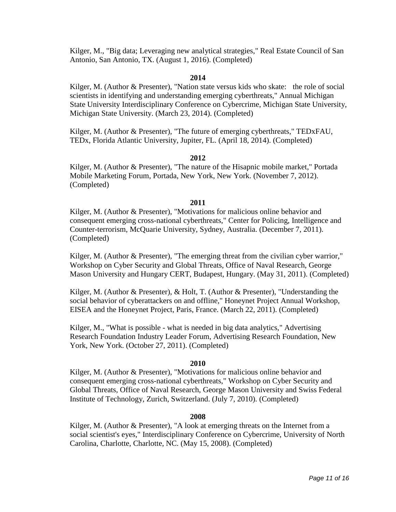Kilger, M., "Big data; Leveraging new analytical strategies," Real Estate Council of San Antonio, San Antonio, TX. (August 1, 2016). (Completed)

# **2014**

Kilger, M. (Author & Presenter), "Nation state versus kids who skate: the role of social scientists in identifying and understanding emerging cyberthreats," Annual Michigan State University Interdisciplinary Conference on Cybercrime, Michigan State University, Michigan State University. (March 23, 2014). (Completed)

Kilger, M. (Author & Presenter), "The future of emerging cyberthreats," TEDxFAU, TEDx, Florida Atlantic University, Jupiter, FL. (April 18, 2014). (Completed)

### **2012**

Kilger, M. (Author & Presenter), "The nature of the Hisapnic mobile market," Portada Mobile Marketing Forum, Portada, New York, New York. (November 7, 2012). (Completed)

### **2011**

Kilger, M. (Author & Presenter), "Motivations for malicious online behavior and consequent emerging cross-national cyberthreats," Center for Policing, Intelligence and Counter-terrorism, McQuarie University, Sydney, Australia. (December 7, 2011). (Completed)

Kilger, M. (Author & Presenter), "The emerging threat from the civilian cyber warrior," Workshop on Cyber Security and Global Threats, Office of Naval Research, George Mason University and Hungary CERT, Budapest, Hungary. (May 31, 2011). (Completed)

Kilger, M. (Author & Presenter), & Holt, T. (Author & Presenter), "Understanding the social behavior of cyberattackers on and offline," Honeynet Project Annual Workshop, EISEA and the Honeynet Project, Paris, France. (March 22, 2011). (Completed)

Kilger, M., "What is possible - what is needed in big data analytics," Advertising Research Foundation Industry Leader Forum, Advertising Research Foundation, New York, New York. (October 27, 2011). (Completed)

### **2010**

Kilger, M. (Author & Presenter), "Motivations for malicious online behavior and consequent emerging cross-national cyberthreats," Workshop on Cyber Security and Global Threats, Office of Naval Research, George Mason University and Swiss Federal Institute of Technology, Zurich, Switzerland. (July 7, 2010). (Completed)

### **2008**

Kilger, M. (Author & Presenter), "A look at emerging threats on the Internet from a social scientist's eyes," Interdisciplinary Conference on Cybercrime, University of North Carolina, Charlotte, Charlotte, NC. (May 15, 2008). (Completed)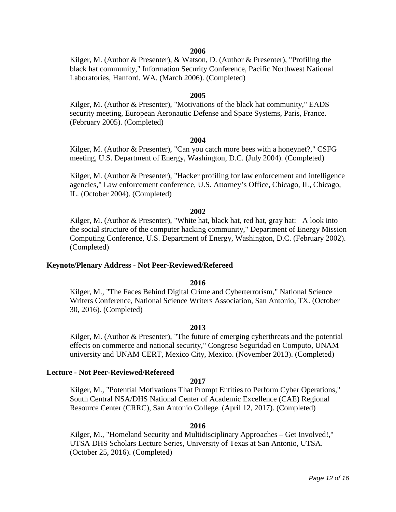# **2006**

Kilger, M. (Author & Presenter), & Watson, D. (Author & Presenter), "Profiling the black hat community," Information Security Conference, Pacific Northwest National Laboratories, Hanford, WA. (March 2006). (Completed)

### **2005**

Kilger, M. (Author & Presenter), "Motivations of the black hat community," EADS security meeting, European Aeronautic Defense and Space Systems, Paris, France. (February 2005). (Completed)

### **2004**

Kilger, M. (Author & Presenter), "Can you catch more bees with a honeynet?," CSFG meeting, U.S. Department of Energy, Washington, D.C. (July 2004). (Completed)

Kilger, M. (Author & Presenter), "Hacker profiling for law enforcement and intelligence agencies," Law enforcement conference, U.S. Attorney's Office, Chicago, IL, Chicago, IL. (October 2004). (Completed)

### **2002**

Kilger, M. (Author & Presenter), "White hat, black hat, red hat, gray hat: A look into the social structure of the computer hacking community," Department of Energy Mission Computing Conference, U.S. Department of Energy, Washington, D.C. (February 2002). (Completed)

### **Keynote/Plenary Address - Not Peer-Reviewed/Refereed**

### **2016**

Kilger, M., "The Faces Behind Digital Crime and Cyberterrorism," National Science Writers Conference, National Science Writers Association, San Antonio, TX. (October 30, 2016). (Completed)

### **2013**

Kilger, M. (Author & Presenter), "The future of emerging cyberthreats and the potential effects on commerce and national security," Congreso Seguridad en Computo, UNAM university and UNAM CERT, Mexico City, Mexico. (November 2013). (Completed)

### **Lecture - Not Peer-Reviewed/Refereed**

## **2017**

Kilger, M., "Potential Motivations That Prompt Entities to Perform Cyber Operations," South Central NSA/DHS National Center of Academic Excellence (CAE) Regional Resource Center (CRRC), San Antonio College. (April 12, 2017). (Completed)

### **2016**

Kilger, M., "Homeland Security and Multidisciplinary Approaches – Get Involved!," UTSA DHS Scholars Lecture Series, University of Texas at San Antonio, UTSA. (October 25, 2016). (Completed)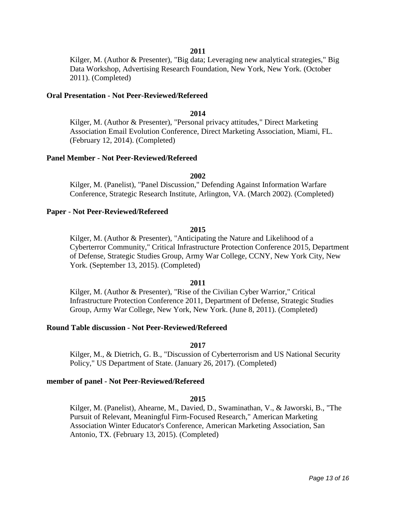# **2011**

Kilger, M. (Author & Presenter), "Big data; Leveraging new analytical strategies," Big Data Workshop, Advertising Research Foundation, New York, New York. (October 2011). (Completed)

### **Oral Presentation - Not Peer-Reviewed/Refereed**

# **2014**

Kilger, M. (Author & Presenter), "Personal privacy attitudes," Direct Marketing Association Email Evolution Conference, Direct Marketing Association, Miami, FL. (February 12, 2014). (Completed)

### **Panel Member - Not Peer-Reviewed/Refereed**

#### **2002**

Kilger, M. (Panelist), "Panel Discussion," Defending Against Information Warfare Conference, Strategic Research Institute, Arlington, VA. (March 2002). (Completed)

### **Paper - Not Peer-Reviewed/Refereed**

## **2015**

Kilger, M. (Author & Presenter), "Anticipating the Nature and Likelihood of a Cyberterror Community," Critical Infrastructure Protection Conference 2015, Department of Defense, Strategic Studies Group, Army War College, CCNY, New York City, New York. (September 13, 2015). (Completed)

### **2011**

Kilger, M. (Author & Presenter), "Rise of the Civilian Cyber Warrior," Critical Infrastructure Protection Conference 2011, Department of Defense, Strategic Studies Group, Army War College, New York, New York. (June 8, 2011). (Completed)

# **Round Table discussion - Not Peer-Reviewed/Refereed**

# **2017**

Kilger, M., & Dietrich, G. B., "Discussion of Cyberterrorism and US National Security Policy," US Department of State. (January 26, 2017). (Completed)

## **member of panel - Not Peer-Reviewed/Refereed**

### **2015**

Kilger, M. (Panelist), Ahearne, M., Davied, D., Swaminathan, V., & Jaworski, B., "The Pursuit of Relevant, Meaningful Firm-Focused Research," American Marketing Association Winter Educator's Conference, American Marketing Association, San Antonio, TX. (February 13, 2015). (Completed)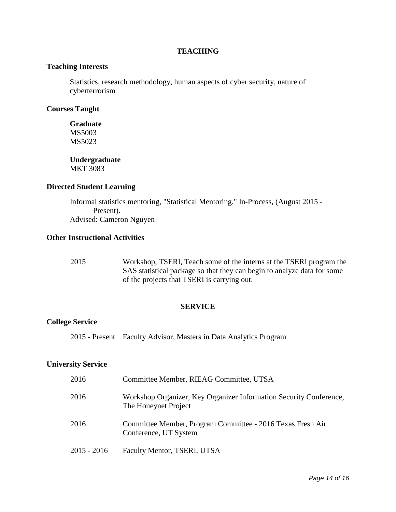# **TEACHING**

# **Teaching Interests**

Statistics, research methodology, human aspects of cyber security, nature of cyberterrorism

# **Courses Taught**

**Graduate** MS5003 MS5023

**Undergraduate** MKT 3083

# **Directed Student Learning**

Informal statistics mentoring, "Statistical Mentoring." In-Process, (August 2015 - Present). Advised: Cameron Nguyen

# **Other Instructional Activities**

2015 Workshop, TSERI, Teach some of the interns at the TSERI program the SAS statistical package so that they can begin to analyze data for some of the projects that TSERI is carrying out.

# **SERVICE**

# **College Service**

2015 - Present Faculty Advisor, Masters in Data Analytics Program

# **University Service**

| 2016        | Committee Member, RIEAG Committee, UTSA                                                    |
|-------------|--------------------------------------------------------------------------------------------|
| 2016        | Workshop Organizer, Key Organizer Information Security Conference,<br>The Honeynet Project |
| 2016        | Committee Member, Program Committee - 2016 Texas Fresh Air<br>Conference, UT System        |
| 2015 - 2016 | Faculty Mentor, TSERI, UTSA                                                                |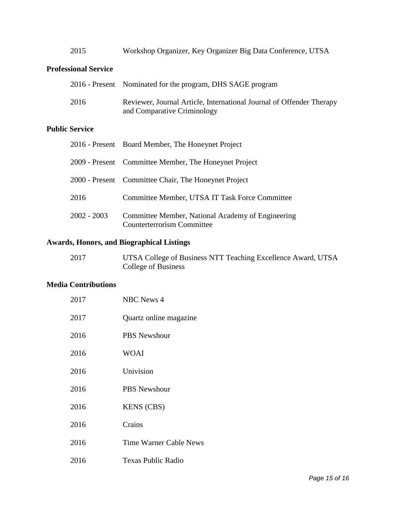| 2015 |  |  | Workshop Organizer, Key Organizer Big Data Conference, UTSA |  |
|------|--|--|-------------------------------------------------------------|--|
|      |  |  |                                                             |  |

# **Professional Service**

|      | 2016 - Present Nominated for the program, DHS SAGE program                                          |
|------|-----------------------------------------------------------------------------------------------------|
| 2016 | Reviewer, Journal Article, International Journal of Offender Therapy<br>and Comparative Criminology |

# **Public Service**

|               | 2016 - Present Board Member, The Honeynet Project                                      |
|---------------|----------------------------------------------------------------------------------------|
|               | 2009 - Present Committee Member, The Honeynet Project                                  |
|               | 2000 - Present Committee Chair, The Honeynet Project                                   |
| 2016          | Committee Member, UTSA IT Task Force Committee                                         |
| $2002 - 2003$ | Committee Member, National Academy of Engineering<br><b>Counterterrorism Committee</b> |

# **Awards, Honors, and Biographical Listings**

| 2017 | UTSA College of Business NTT Teaching Excellence Award, UTSA |
|------|--------------------------------------------------------------|
|      | College of Business                                          |

# **Media Contributions**

| 2017 | <b>NBC</b> News 4             |
|------|-------------------------------|
| 2017 | Quartz online magazine        |
| 2016 | <b>PBS</b> Newshour           |
| 2016 | <b>WOAI</b>                   |
| 2016 | Univision                     |
| 2016 | <b>PBS</b> Newshour           |
| 2016 | <b>KENS (CBS)</b>             |
| 2016 | Crains                        |
| 2016 | <b>Time Warner Cable News</b> |
| 2016 | <b>Texas Public Radio</b>     |